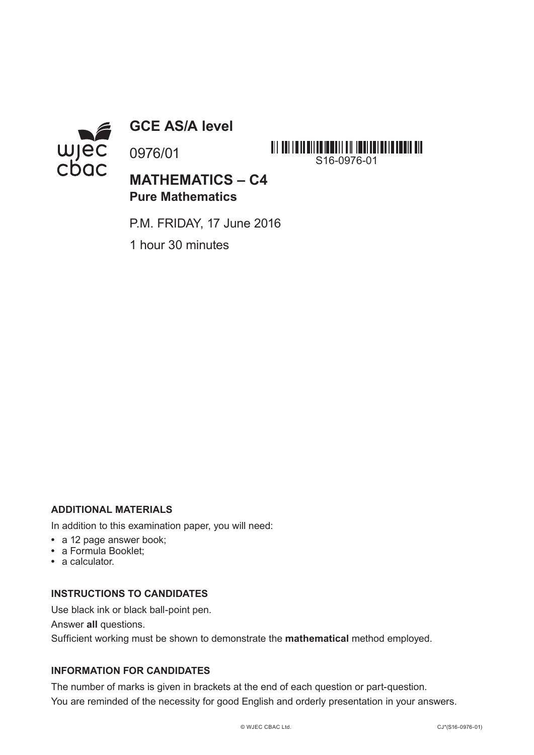

**GCE AS/A level**

0976/01

**MATHEMATICS – C4 Pure Mathematics**

S16-0976-01

P.M. FRIDAY, 17 June 2016

1 hour 30 minutes

### **ADDITIONAL MATERIALS**

In addition to this examination paper, you will need:

- **•** a 12 page answer book;
- **•** a Formula Booklet;
- **•** a calculator.

#### **INSTRUCTIONS TO CANDIDATES**

Use black ink or black ball-point pen.

Answer **all** questions.

Sufficient working must be shown to demonstrate the **mathematical** method employed.

#### **INFORMATION FOR CANDIDATES**

The number of marks is given in brackets at the end of each question or part-question. You are reminded of the necessity for good English and orderly presentation in your answers.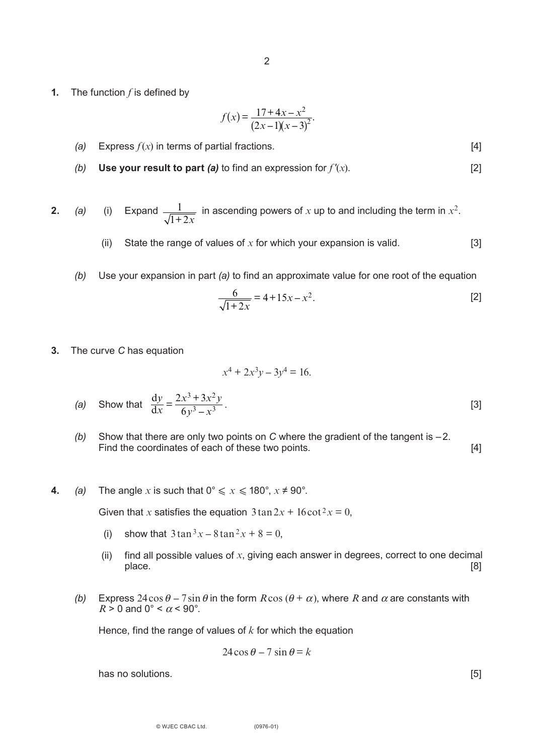**1.** The function *f* is defined by

$$
f(x) = \frac{17 + 4x - x^2}{(2x - 1)(x - 3)^2}.
$$

- *(a)* Express  $f(x)$  in terms of partial fractions.  $[4]$
- *(b)* **Use your result to part** *(a)* to find an expression for  $f'(x)$ . [2]

**2.** (a) (i) Expand  $\frac{1}{\sqrt{1-\lambda}}$  in ascending powers of x up to and including the term in  $x^2$ .  $1 + 2x$ 

- (ii) State the range of values of *x* for which your expansion is valid. [3]
- *(b)* Use your expansion in part *(a)* to find an approximate value for one root of the equation

$$
\frac{6}{\sqrt{1+2x}} = 4+15x-x^2.
$$
 [2]

**3.** The curve *C* has equation

$$
x^4 + 2x^3y - 3y^4 = 16.
$$

(a) Show that 
$$
\frac{dy}{dx} = \frac{2x^3 + 3x^2y}{6y^3 - x^3}
$$
. [3]

- *(b)* Show that there are only two points on *C* where the gradient of the tangent is –2. Find the coordinates of each of these two points. [4]
- **4.** *(a)* The angle *x* is such that  $0^\circ \le x \le 180^\circ$ ,  $x \ne 90^\circ$ .

Given that *x* satisfies the equation  $3\tan 2x + 16\cot^2 x = 0$ ,

- (i) show that  $3 \tan^3 x 8 \tan^2 x + 8 = 0$ ,
- (ii) find all possible values of *x*, giving each answer in degrees, correct to one decimal place. [8]
- *(b)* Express 24 cos  $\theta$  7 sin  $\theta$  in the form  $R$ cos ( $\theta$  +  $\alpha$ ), where  $R$  and  $\alpha$  are constants with  $R > 0$  and  $0^\circ < \alpha < 90^\circ$ .

Hence, find the range of values of *k* for which the equation

$$
24\cos\theta - 7\sin\theta = k
$$

has no solutions. [5] **has no solutions has no solutions has no solutions has no solutions has no solutions has no solutions has no solutions has no solutions has no solutions has no solutions has no so**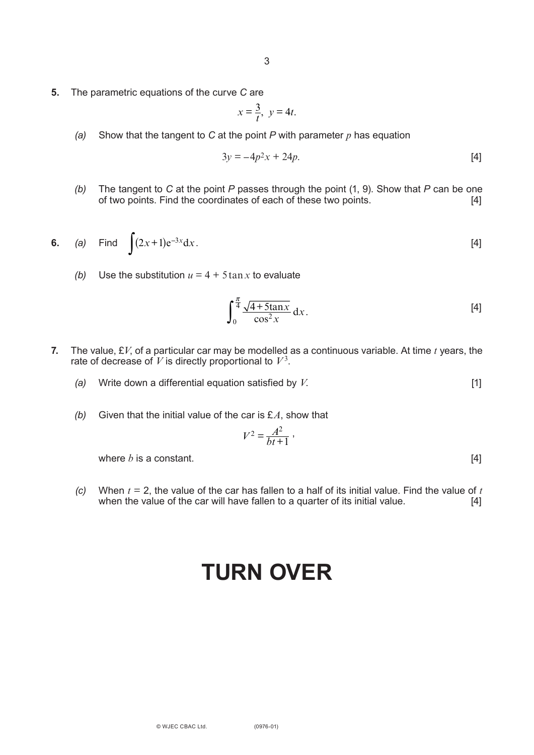**5.** The parametric equations of the curve *C* are

$$
x=\frac{3}{t}, y=4t.
$$

*(a)* Show that the tangent to *C* at the point *P* with parameter *p* has equation

$$
3y = -4p^2x + 24p.
$$
 [4]

*(b)* The tangent to *C* at the point *P* passes through the point (1, 9). Show that *P* can be one of two points. Find the coordinates of each of these two points. [4]

6. (a) Find 
$$
\int (2x+1)e^{-3x} dx
$$
. [4]

*(b)* Use the substitution  $u = 4 + 5 \tan x$  to evaluate

$$
\int_0^{\frac{\pi}{4}} \frac{\sqrt{4 + 5\tan x}}{\cos^2 x} dx.
$$
 [4]

- **7.** The value, £*V*, of a particular car may be modelled as a continuous variable. At time *t* years, the rate of decrease of *V* is directly proportional to *V*<sup>3</sup>.
	- *(a)* Write down a differential equation satisfied by *V*. [1]
	- *(b)* Given that the initial value of the car is £*A*, show that

$$
V^2 = \frac{A^2}{bt+1} \; ,
$$

where  $b$  is a constant.  $[4]$ 

*(c)* When  $t = 2$ , the value of the car has fallen to a half of its initial value. Find the value of  $t$  when the value of the car will have fallen to a quarter of its initial value.  $[4]$ when the value of the car will have fallen to a quarter of its initial value.

# **TURN OVER**